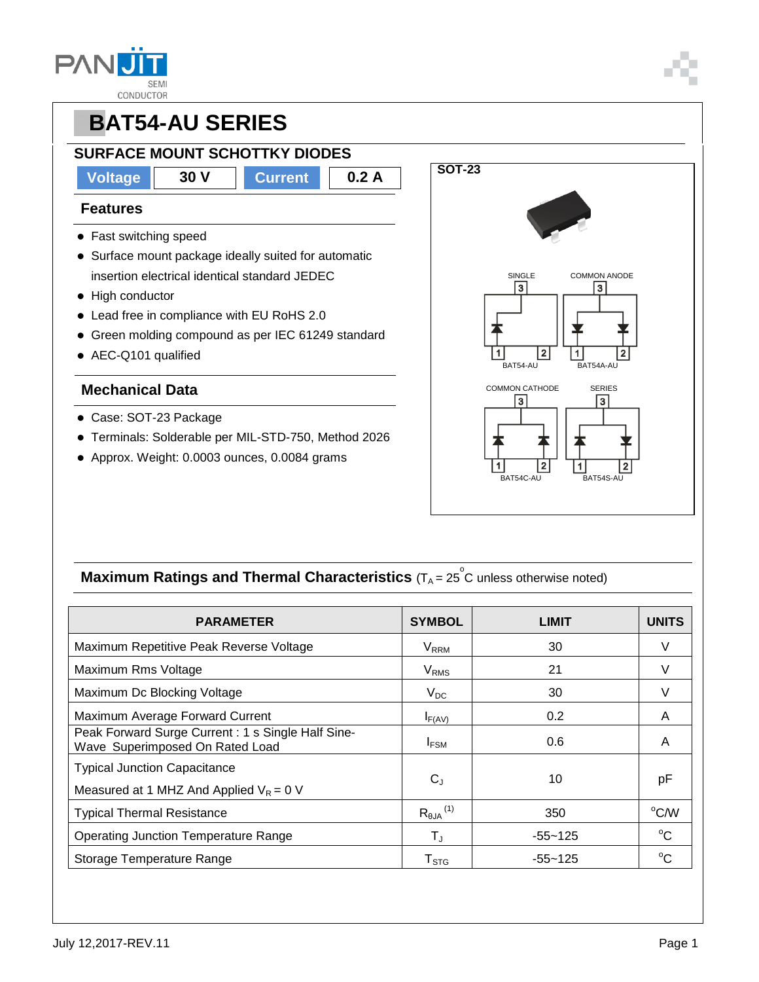



- Terminals: Solderable per MIL-STD-750, Method 2026
- Approx. Weight: 0.0003 ounces, 0.0084 grams



### **Maximum Ratings and Thermal Characteristics** (T<sub>A</sub> = 25<sup>°</sup>C unless otherwise noted)

| <b>PARAMETER</b>                                                                     | <b>SYMBOL</b>             | <b>LIMIT</b> | <b>UNITS</b> |
|--------------------------------------------------------------------------------------|---------------------------|--------------|--------------|
| Maximum Repetitive Peak Reverse Voltage                                              | <b>V</b> <sub>RRM</sub>   | 30           | V            |
| Maximum Rms Voltage                                                                  | <b>V</b> <sub>RMS</sub>   | 21           | V            |
| Maximum Dc Blocking Voltage                                                          | $V_{DC}$                  | 30           |              |
| Maximum Average Forward Current                                                      | $I_{F(AV)}$               | 0.2          | A            |
| Peak Forward Surge Current: 1 s Single Half Sine-<br>Wave Superimposed On Rated Load | $I_{FSM}$                 | 0.6          | A            |
| <b>Typical Junction Capacitance</b><br>Measured at 1 MHZ And Applied $V_R = 0$ V     | $C_{J}$                   | 10           | рF           |
| <b>Typical Thermal Resistance</b>                                                    | $R_{\theta J A}{}^{(1)}$  | 350          | °C/W         |
| <b>Operating Junction Temperature Range</b>                                          | T,                        | $-55 - 125$  | $^{\circ}$ C |
| Storage Temperature Range                                                            | $\mathsf{T}_{\text{STG}}$ | -55~125      | $^{\circ}C$  |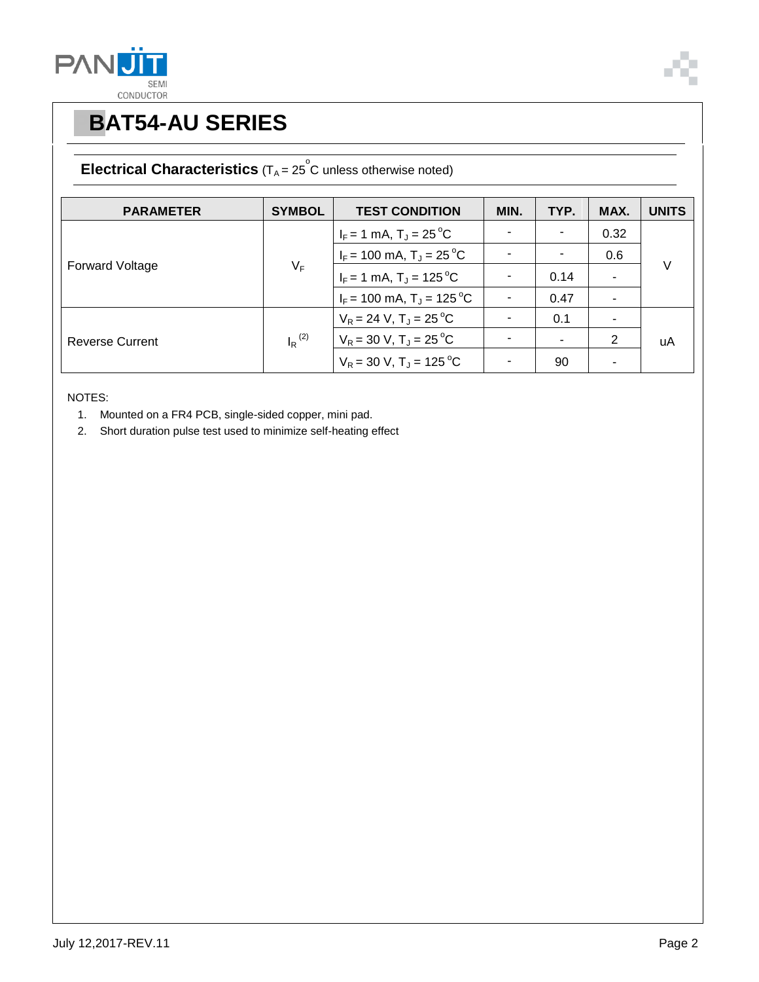![](_page_1_Picture_0.jpeg)

![](_page_1_Picture_1.jpeg)

#### **Electrical Characteristics**  $(T_A = 25^\circ \text{C}$  unless otherwise noted)

| <b>PARAMETER</b>       | <b>SYMBOL</b>        | <b>TEST CONDITION</b>                   | MIN. | TYP. | MAX. | <b>UNITS</b> |
|------------------------|----------------------|-----------------------------------------|------|------|------|--------------|
| <b>Forward Voltage</b> | $V_F$                | $I_F = 1$ mA, $T_J = 25$ °C             |      | ٠    | 0.32 | $\vee$       |
|                        |                      | $I_F$ = 100 mA, T <sub>J</sub> = 25 °C  |      |      | 0.6  |              |
|                        |                      | $I_F = 1$ mA, $T_J = 125$ °C            |      | 0.14 |      |              |
|                        |                      | $I_F$ = 100 mA, T <sub>J</sub> = 125 °C |      | 0.47 | ۰    |              |
| <b>Reverse Current</b> | $I_R$ <sup>(2)</sup> | $V_R = 24$ V, $T_A = 25$ °C             |      | 0.1  | ۰.   | uA           |
|                        |                      | $V_R$ = 30 V, T <sub>J</sub> = 25 °C    |      |      | 2    |              |
|                        |                      | $V_R = 30$ V, T <sub>J</sub> = 125 °C   |      | 90   | -    |              |

NOTES:

- 1. Mounted on a FR4 PCB, single-sided copper, mini pad.
- 2. Short duration pulse test used to minimize self-heating effect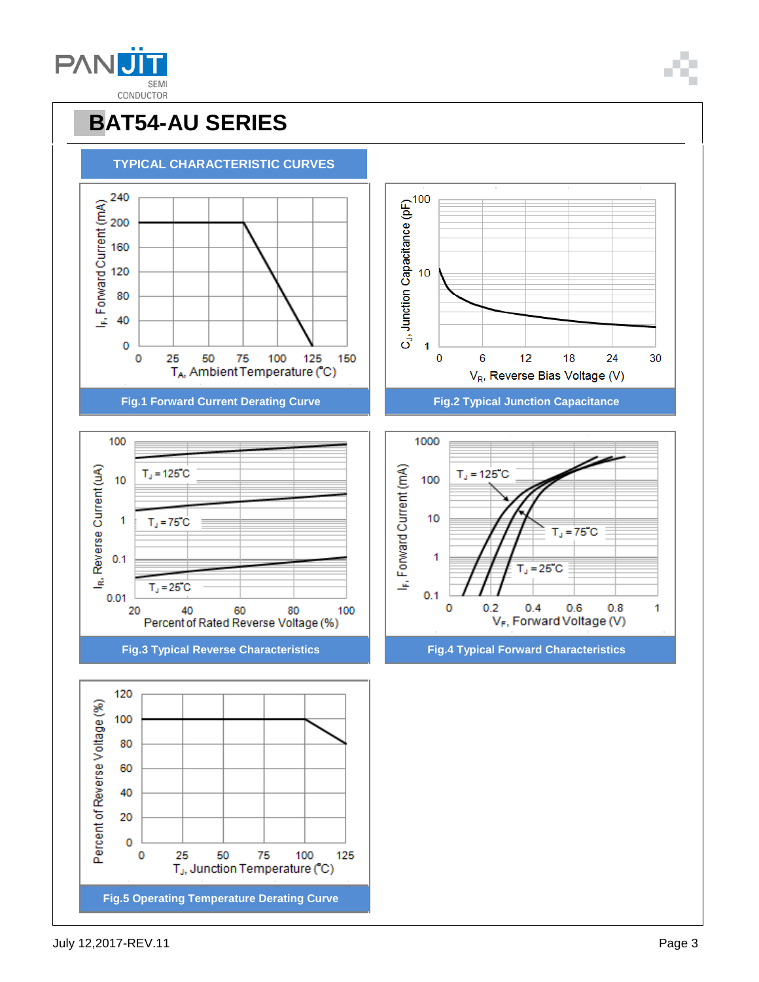![](_page_2_Picture_0.jpeg)

![](_page_2_Picture_1.jpeg)

#### **PBAT54-AU SERIES TYPICAL CHARACTERISTIC CURVES** (x) 240<br>
240<br>
200 160<br>
240<br>
240<br>
200 160<br>
30<br>
40<br>
40<br>
40  $C_1$ , Junction Capacitance (pF)<br> $\frac{1}{10}$ 0  $\bf{0}$  $\overline{6}$  $12$ 18 0 25 50 75 100 125 150 24 30 TA, Ambient Temperature (°C) V<sub>R</sub>, Reverse Bias Voltage (V) **Fig.1 Forward Current Derating Curve Fig.2 Typical Junction Capacitance** 1000 100 I<sub>R</sub>, Reverse Current (uA) I<sub>F</sub>, Forward Current (mA)  $T<sub>d</sub> = 125°C$  $T_J = 125 C$ 10 100 10 1  $T<sub>J</sub> = 75 C$  $T_d = 75 C$  $0.1$ 1  $T_J = 25 C$  $T_d = 25 C$  $0.01$  $0.1$  $\mathbf 0$  $0.2$  $0.4$  $0.6$  $0.8$ 1 40 60 80 20 100 V<sub>F</sub>, Forward Voltage (V) Percent of Rated Reverse Voltage (%) **Fig.3 Typical Reverse Characteristics Fig.4 Typical Forward Characteristics** 120 Percent of Reverse Voltage (%) 100 80 60 40 20  $\mathbf 0$  $\bf{0}$ 25 50 75 100 125 T<sub>J</sub>, Junction Temperature (°C) **Fig.5 Operating Temperature Derating Curve**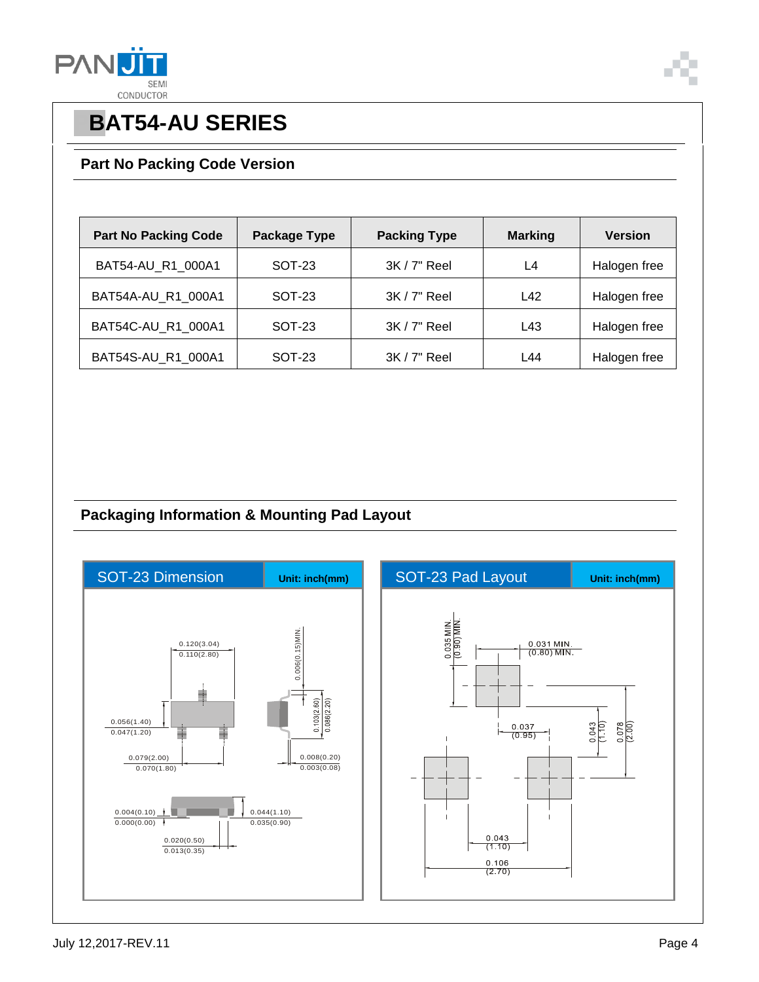![](_page_3_Picture_0.jpeg)

![](_page_3_Picture_1.jpeg)

#### **Part No Packing Code Version**

| <b>Part No Packing Code</b> | Package Type | <b>Packing Type</b> | <b>Marking</b> | <b>Version</b> |
|-----------------------------|--------------|---------------------|----------------|----------------|
| BAT54-AU_R1_000A1           | SOT-23       | $3K/7"$ Reel        | L4             | Halogen free   |
| BAT54A-AU R1 000A1          | SOT-23       | $3K/7"$ Reel        | L42            | Halogen free   |
| BAT54C-AU_R1_000A1          | SOT-23       | $3K/7"$ Reel        | L43            | Halogen free   |
| BAT54S-AU R1 000A1          | SOT-23       | 3K / 7" Reel        | L44            | Halogen free   |

### **Packaging Information & Mounting Pad Layout**

![](_page_3_Figure_6.jpeg)